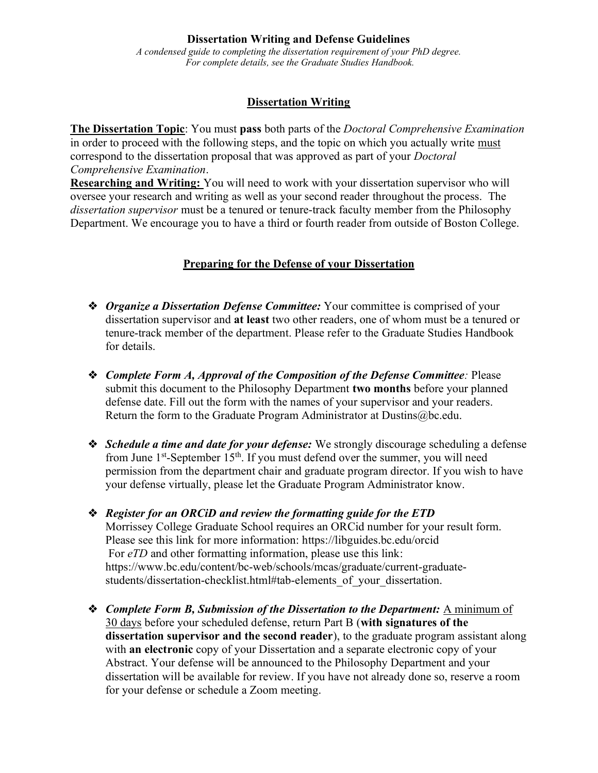#### **Dissertation Writing and Defense Guidelines**

*A condensed guide to completing the dissertation requirement of your PhD degree. For complete details, see the Graduate Studies Handbook.*

#### **Dissertation Writing**

**The Dissertation Topic**: You must **pass** both parts of the *Doctoral Comprehensive Examination*  in order to proceed with the following steps, and the topic on which you actually write must correspond to the dissertation proposal that was approved as part of your *Doctoral Comprehensive Examination*.

**Researching and Writing:** You will need to work with your dissertation supervisor who will oversee your research and writing as well as your second reader throughout the process. The *dissertation supervisor* must be a tenured or tenure-track faculty member from the Philosophy Department. We encourage you to have a third or fourth reader from outside of Boston College.

### **Preparing for the Defense of your Dissertation**

- ❖ *Organize a Dissertation Defense Committee:* Your committee is comprised of your dissertation supervisor and **at least** two other readers, one of whom must be a tenured or tenure-track member of the department. Please refer to the Graduate Studies Handbook for details.
- ❖ *Complete Form A, Approval of the Composition of the Defense Committee:* Please submit this document to the Philosophy Department **two months** before your planned defense date. Fill out the form with the names of your supervisor and your readers. Return the form to the Graduate Program Administrator at [Dustins@bc.edu.](mailto:Dustins@bc.edu)
- ❖ *Schedule a time and date for your defense:* We strongly discourage scheduling a defense from June 1st-September 15th. If you must defend over the summer, you will need permission from the department chair and graduate program director. If you wish to have your defense virtually, please let the Graduate Program Administrator know.
- ❖ *Register for an ORCiD and review the formatting guide for the ETD* Morrissey College Graduate School requires an ORCid number for your result form. Please see this link for more information:<https://libguides.bc.edu/orcid> For *eTD* and other formatting information, please use this link: [https://www.bc.edu/content/bc-web/schools/mcas/graduate/current-graduate](https://www.bc.edu/content/bc-web/schools/mcas/graduate/current-graduate-students/dissertation-checklist.html#tab-elements_of_your_dissertation)students/dissertation-checklist.html#tab-elements of your dissertation.
- ❖ *Complete Form B, Submission of the Dissertation to the Department:* A minimum of 30 days before your scheduled defense, return Part B (**with signatures of the dissertation supervisor and the second reader**), to the graduate program assistant along with **an electronic** copy of your Dissertation and a separate electronic copy of your Abstract. Your defense will be announced to the Philosophy Department and your dissertation will be available for review. If you have not already done so, reserve a room for your defense or schedule a Zoom meeting.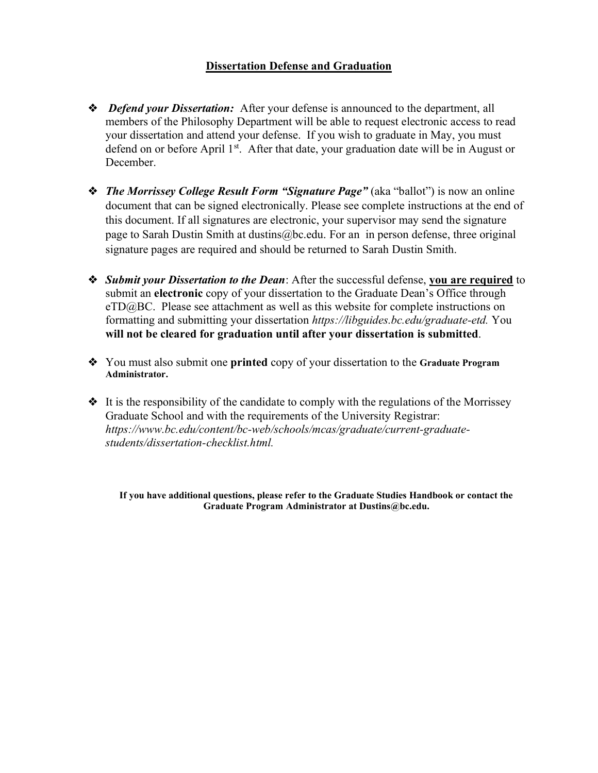# **Dissertation Defense and Graduation**

- ❖ *Defend your Dissertation:* After your defense is announced to the department, all members of the Philosophy Department will be able to request electronic access to read your dissertation and attend your defense. If you wish to graduate in May, you must defend on or before April 1<sup>st</sup>. After that date, your graduation date will be in August or December.
- ❖ *The Morrissey College Result Form "Signature Page"* (aka "ballot") is now an online document that can be signed electronically. Please see complete instructions at the end of this document. If all signatures are electronic, your supervisor may send the signature page to Sarah Dustin Smith at [dustins@bc.edu.](mailto:dustins@bc.edu) For an in person defense, three original signature pages are required and should be returned to Sarah Dustin Smith.
- ❖ *Submit your Dissertation to the Dean*: After the successful defense, **you are required** to submit an **electronic** copy of your dissertation to the Graduate Dean's Office through [eTD@BC.](https://www.bc.edu/content/bc-web/schools/mcas/graduate/current-graduate-students/dissertation-checklist.html) Please see attachment as well as this website for complete instructions on formatting and submitting your dissertation *[https://libguides.bc.edu/graduate-etd.](https://libguides.bc.edu/graduate-etd)* You **will not be cleared for graduation until after your dissertation is submitted**.
- ❖ You must also submit one **printed** copy of your dissertation to the **Graduate Program Administrator.**
- ❖ It is the responsibility of the candidate to comply with the regulations of the Morrissey Graduate School and with the requirements of the University Registrar: *[https://www.bc.edu/content/bc-web/schools/mcas/graduate/current-graduate](https://www.bc.edu/content/bc-web/schools/mcas/graduate/current-graduate-students/dissertation-checklist.html)[students/dissertation-checklist.html.](https://www.bc.edu/content/bc-web/schools/mcas/graduate/current-graduate-students/dissertation-checklist.html)*

**If you have additional questions, please refer to the Graduate Studies Handbook or contact the Graduate Program Administrator at Dustins@bc.edu.**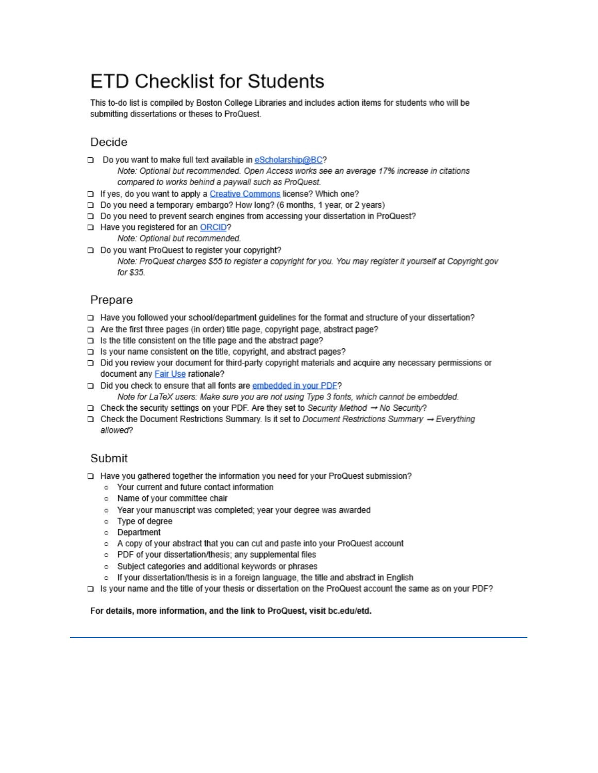# **FTD Checklist for Students**

This to-do list is compiled by Boston College Libraries and includes action items for students who will be submitting dissertations or theses to ProQuest.

# Decide

- □ Do you want to make full text available in eScholarship@BC? Note: Optional but recommended. Open Access works see an average 17% increase in citations
- compared to works behind a paywall such as ProQuest. □ If yes, do you want to apply a Creative Commons license? Which one?
- □ Do you need a temporary embargo? How long? (6 months, 1 year, or 2 years)
- □ Do you need to prevent search engines from accessing your dissertation in ProQuest?
- Have you registered for an ORCID?
	- Note: Optional but recommended.
- □ Do you want ProQuest to register your copyright? Note: ProQuest charges \$55 to register a copyright for you. You may register it yourself at Copyright.gov for \$35.

# Prepare

- D Have you followed your school/department quidelines for the format and structure of your dissertation?
- $\Box$  Are the first three pages (in order) title page, copyright page, abstract page?
- $\Box$  Is the title consistent on the title page and the abstract page?
- □ Is your name consistent on the title, copyright, and abstract pages?
- □ Did you review your document for third-party copyright materials and acquire any necessary permissions or document any Fair Use rationale?
- Did you check to ensure that all fonts are embedded in your PDF? Note for LaTeX users: Make sure you are not using Type 3 fonts, which cannot be embedded.
- Check the security settings on your PDF. Are they set to Security Method → No Security?
- Check the Document Restrictions Summary. Is it set to Document Restrictions Summary → Everything allowed?

# Submit

- □ Have you gathered together the information you need for your ProQuest submission?
	- Your current and future contact information
	- o Name of your committee chair
	- o Year your manuscript was completed; year your degree was awarded
	- o Type of degree
	- o Department
	- A copy of your abstract that you can cut and paste into your ProQuest account
	- PDF of your dissertation/thesis: any supplemental files
	- o Subject categories and additional keywords or phrases
	- o If your dissertation/thesis is in a foreign language, the title and abstract in English
- Is your name and the title of your thesis or dissertation on the ProQuest account the same as on your PDF?

#### For details, more information, and the link to ProQuest, visit bc.edu/etd.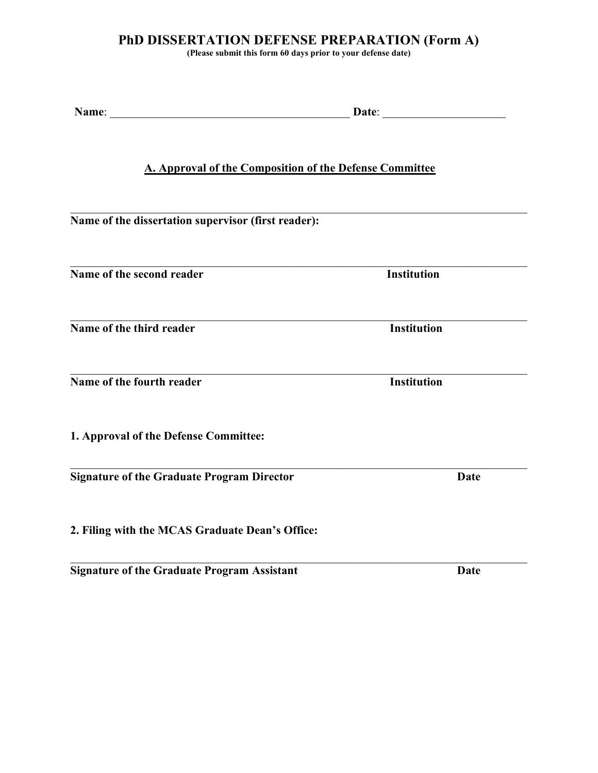# **PhD DISSERTATION DEFENSE PREPARATION (Form A)**

**(Please submit this form 60 days prior to your defense date)**

| <b>A. Approval of the Composition of the Defense Committee</b> |                    |  |
|----------------------------------------------------------------|--------------------|--|
| Name of the dissertation supervisor (first reader):            |                    |  |
| Name of the second reader                                      | <b>Institution</b> |  |
| Name of the third reader                                       | <b>Institution</b> |  |
| Name of the fourth reader                                      | <b>Institution</b> |  |
| 1. Approval of the Defense Committee:                          |                    |  |
| <b>Signature of the Graduate Program Director</b>              | <b>Date</b>        |  |
| 2. Filing with the MCAS Graduate Dean's Office:                |                    |  |

 $\mathcal{L}_\mathcal{L} = \{ \mathcal{L}_\mathcal{L} = \{ \mathcal{L}_\mathcal{L} = \{ \mathcal{L}_\mathcal{L} = \{ \mathcal{L}_\mathcal{L} = \{ \mathcal{L}_\mathcal{L} = \{ \mathcal{L}_\mathcal{L} = \{ \mathcal{L}_\mathcal{L} = \{ \mathcal{L}_\mathcal{L} = \{ \mathcal{L}_\mathcal{L} = \{ \mathcal{L}_\mathcal{L} = \{ \mathcal{L}_\mathcal{L} = \{ \mathcal{L}_\mathcal{L} = \{ \mathcal{L}_\mathcal{L} = \{ \mathcal{L}_\mathcal{$ 

**Signature of the Graduate Program Assistant Date**